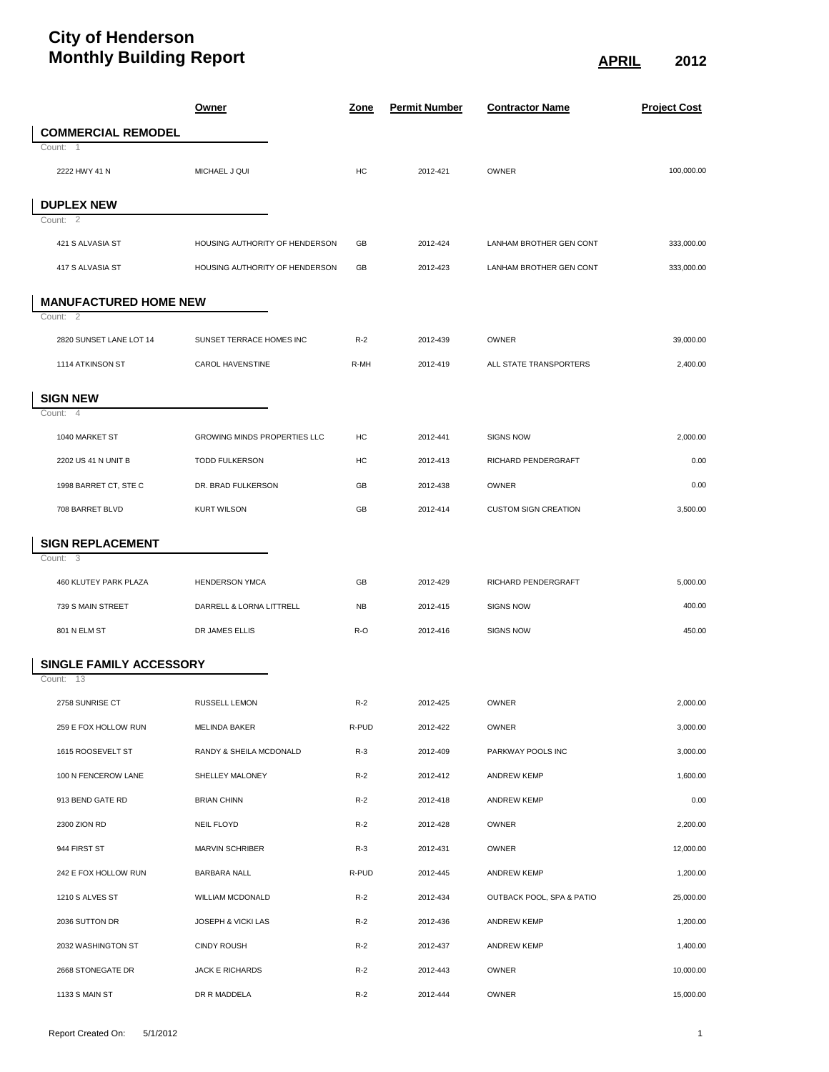## **City of Henderson Monthly Building Report APRIL 2012**

|                                            | <u>Owner</u>                   | <u>Zone</u> | <b>Permit Number</b> | <b>Contractor Name</b>      | <b>Project Cost</b> |
|--------------------------------------------|--------------------------------|-------------|----------------------|-----------------------------|---------------------|
| <b>COMMERCIAL REMODEL</b>                  |                                |             |                      |                             |                     |
| Count: 1                                   |                                |             |                      |                             |                     |
| 2222 HWY 41 N                              | MICHAEL J QUI                  | HC          | 2012-421             | OWNER                       | 100,000.00          |
| <b>DUPLEX NEW</b>                          |                                |             |                      |                             |                     |
| Count: 2                                   |                                |             |                      |                             |                     |
| 421 S ALVASIA ST                           | HOUSING AUTHORITY OF HENDERSON | GB          | 2012-424             | LANHAM BROTHER GEN CONT     | 333,000.00          |
| 417 S ALVASIA ST                           | HOUSING AUTHORITY OF HENDERSON | GB          | 2012-423             | LANHAM BROTHER GEN CONT     | 333,000.00          |
| <b>MANUFACTURED HOME NEW</b>               |                                |             |                      |                             |                     |
| Count: 2                                   |                                |             |                      |                             |                     |
| 2820 SUNSET LANE LOT 14                    | SUNSET TERRACE HOMES INC       | $R-2$       | 2012-439             | <b>OWNER</b>                | 39,000.00           |
| 1114 ATKINSON ST                           | <b>CAROL HAVENSTINE</b>        | R-MH        | 2012-419             | ALL STATE TRANSPORTERS      | 2,400.00            |
| <b>SIGN NEW</b>                            |                                |             |                      |                             |                     |
| Count:<br>$\overline{4}$<br>1040 MARKET ST | GROWING MINDS PROPERTIES LLC   | HC          | 2012-441             | <b>SIGNS NOW</b>            | 2,000.00            |
| 2202 US 41 N UNIT B                        | <b>TODD FULKERSON</b>          | HC          | 2012-413             | RICHARD PENDERGRAFT         | 0.00                |
| 1998 BARRET CT, STE C                      | DR. BRAD FULKERSON             | GB          | 2012-438             | <b>OWNER</b>                | 0.00                |
| 708 BARRET BLVD                            | <b>KURT WILSON</b>             | GB          | 2012-414             | <b>CUSTOM SIGN CREATION</b> | 3,500.00            |
| <b>SIGN REPLACEMENT</b>                    |                                |             |                      |                             |                     |
| Count:<br>3                                |                                |             |                      |                             |                     |
| 460 KLUTEY PARK PLAZA                      | <b>HENDERSON YMCA</b>          | GB          | 2012-429             | RICHARD PENDERGRAFT         | 5,000.00            |
| 739 S MAIN STREET                          | DARRELL & LORNA LITTRELL       | <b>NB</b>   | 2012-415             | <b>SIGNS NOW</b>            | 400.00              |
| 801 N ELM ST                               | DR JAMES ELLIS                 | R-O         | 2012-416             | <b>SIGNS NOW</b>            | 450.00              |
| <b>SINGLE FAMILY ACCESSORY</b>             |                                |             |                      |                             |                     |
| Count: 13                                  |                                |             |                      |                             |                     |
| 2758 SUNRISE CT                            | RUSSELL LEMON                  | $R-2$       | 2012-425             | <b>OWNER</b>                | 2,000.00            |
| 259 E FOX HOLLOW RUN                       | <b>MELINDA BAKER</b>           | R-PUD       | 2012-422             | <b>OWNER</b>                | 3,000.00            |
| 1615 ROOSEVELT ST                          | RANDY & SHEILA MCDONALD        | $R-3$       | 2012-409             | PARKWAY POOLS INC           | 3,000.00            |
| 100 N FENCEROW LANE                        | SHELLEY MALONEY                | $R-2$       | 2012-412             | ANDREW KEMP                 | 1,600.00            |
| 913 BEND GATE RD                           | <b>BRIAN CHINN</b>             | $R-2$       | 2012-418             | <b>ANDREW KEMP</b>          | 0.00                |
| 2300 ZION RD                               | <b>NEIL FLOYD</b>              | $R-2$       | 2012-428             | <b>OWNER</b>                | 2,200.00            |
| 944 FIRST ST                               | MARVIN SCHRIBER                | $R-3$       | 2012-431             | <b>OWNER</b>                | 12,000.00           |
| 242 E FOX HOLLOW RUN                       | <b>BARBARA NALL</b>            | R-PUD       | 2012-445             | ANDREW KEMP                 | 1,200.00            |
| 1210 S ALVES ST                            | WILLIAM MCDONALD               | $R-2$       | 2012-434             | OUTBACK POOL, SPA & PATIO   | 25,000.00           |
| 2036 SUTTON DR                             | JOSEPH & VICKI LAS             | $R-2$       | 2012-436             | ANDREW KEMP                 | 1,200.00            |
| 2032 WASHINGTON ST                         | <b>CINDY ROUSH</b>             | $R-2$       | 2012-437             | ANDREW KEMP                 | 1,400.00            |
| 2668 STONEGATE DR                          | <b>JACK E RICHARDS</b>         | $R-2$       | 2012-443             | <b>OWNER</b>                | 10,000.00           |
| 1133 S MAIN ST                             | DR R MADDELA                   | $R-2$       | 2012-444             | <b>OWNER</b>                | 15,000.00           |